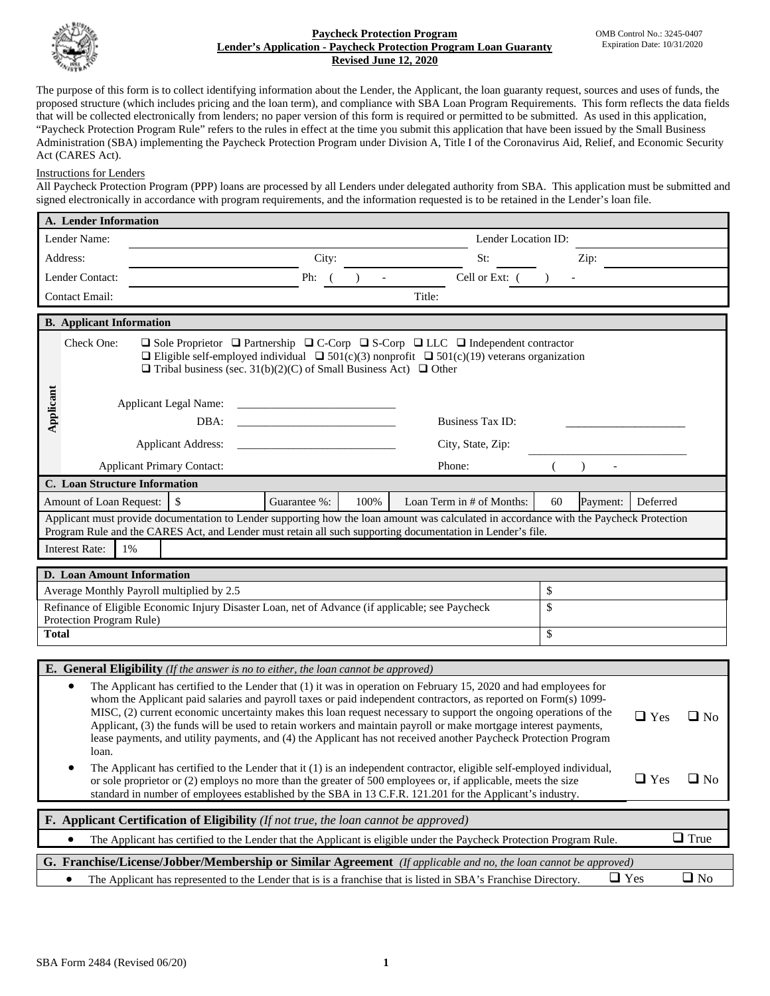

## **Paycheck Protection Program Lender's Application - Paycheck Protection Program Loan Guaranty Revised June 12, 2020**

The purpose of this form is to collect identifying information about the Lender, the Applicant, the loan guaranty request, sources and uses of funds, the proposed structure (which includes pricing and the loan term), and compliance with SBA Loan Program Requirements. This form reflects the data fields that will be collected electronically from lenders; no paper version of this form is required or permitted to be submitted. As used in this application, "Paycheck Protection Program Rule" refers to the rules in effect at the time you submit this application that have been issued by the Small Business Administration (SBA) implementing the Paycheck Protection Program under Division A, Title I of the Coronavirus Aid, Relief, and Economic Security Act (CARES Act).

## Instructions for Lenders

All Paycheck Protection Program (PPP) loans are processed by all Lenders under delegated authority from SBA. This application must be submitted and signed electronically in accordance with program requirements, and the information requested is to be retained in the Lender's loan file.

| A. Lender Information                                                                                                                                                                                                                              |                                                                                                                                                                                                                                                                                                              |                                   |                                                                                            |                          |                     |    |      |  |  |  |
|----------------------------------------------------------------------------------------------------------------------------------------------------------------------------------------------------------------------------------------------------|--------------------------------------------------------------------------------------------------------------------------------------------------------------------------------------------------------------------------------------------------------------------------------------------------------------|-----------------------------------|--------------------------------------------------------------------------------------------|--------------------------|---------------------|----|------|--|--|--|
| Lender Name:                                                                                                                                                                                                                                       |                                                                                                                                                                                                                                                                                                              |                                   |                                                                                            |                          | Lender Location ID: |    |      |  |  |  |
| Address:                                                                                                                                                                                                                                           |                                                                                                                                                                                                                                                                                                              |                                   | City:                                                                                      |                          | St:                 |    | Zip: |  |  |  |
| Lender Contact:                                                                                                                                                                                                                                    |                                                                                                                                                                                                                                                                                                              |                                   | Ph:                                                                                        | $\overline{\phantom{a}}$ | Cell or Ext: (      |    |      |  |  |  |
| <b>Contact Email:</b>                                                                                                                                                                                                                              |                                                                                                                                                                                                                                                                                                              |                                   |                                                                                            |                          | Title:              |    |      |  |  |  |
| <b>B.</b> Applicant Information                                                                                                                                                                                                                    |                                                                                                                                                                                                                                                                                                              |                                   |                                                                                            |                          |                     |    |      |  |  |  |
|                                                                                                                                                                                                                                                    |                                                                                                                                                                                                                                                                                                              |                                   |                                                                                            |                          |                     |    |      |  |  |  |
|                                                                                                                                                                                                                                                    | Check One:<br>$\Box$ Sole Proprietor $\Box$ Partnership $\Box$ C-Corp $\Box$ S-Corp $\Box$ LLC $\Box$ Independent contractor<br>□ Eligible self-employed individual □ 501(c)(3) nonprofit □ 501(c)(19) veterans organization<br>$\Box$ Tribal business (sec. 31(b)(2)(C) of Small Business Act) $\Box$ Other |                                   |                                                                                            |                          |                     |    |      |  |  |  |
|                                                                                                                                                                                                                                                    |                                                                                                                                                                                                                                                                                                              |                                   |                                                                                            |                          |                     |    |      |  |  |  |
| Applicant                                                                                                                                                                                                                                          |                                                                                                                                                                                                                                                                                                              | <b>Applicant Legal Name:</b>      |                                                                                            |                          |                     |    |      |  |  |  |
|                                                                                                                                                                                                                                                    |                                                                                                                                                                                                                                                                                                              | DBA:                              |                                                                                            |                          | Business Tax ID:    |    |      |  |  |  |
|                                                                                                                                                                                                                                                    |                                                                                                                                                                                                                                                                                                              | <b>Applicant Address:</b>         |                                                                                            |                          | City, State, Zip:   |    |      |  |  |  |
|                                                                                                                                                                                                                                                    |                                                                                                                                                                                                                                                                                                              | <b>Applicant Primary Contact:</b> |                                                                                            |                          | Phone:              |    |      |  |  |  |
| C. Loan Structure Information                                                                                                                                                                                                                      |                                                                                                                                                                                                                                                                                                              |                                   |                                                                                            |                          |                     |    |      |  |  |  |
| \$<br>100%<br>Loan Term in # of Months:<br>Deferred<br>Amount of Loan Request:<br>60<br>Guarantee %:<br>Payment:                                                                                                                                   |                                                                                                                                                                                                                                                                                                              |                                   |                                                                                            |                          |                     |    |      |  |  |  |
| Applicant must provide documentation to Lender supporting how the loan amount was calculated in accordance with the Paycheck Protection                                                                                                            |                                                                                                                                                                                                                                                                                                              |                                   |                                                                                            |                          |                     |    |      |  |  |  |
| Program Rule and the CARES Act, and Lender must retain all such supporting documentation in Lender's file.<br><b>Interest Rate:</b><br>$1\%$                                                                                                       |                                                                                                                                                                                                                                                                                                              |                                   |                                                                                            |                          |                     |    |      |  |  |  |
|                                                                                                                                                                                                                                                    |                                                                                                                                                                                                                                                                                                              |                                   |                                                                                            |                          |                     |    |      |  |  |  |
| D. Loan Amount Information<br>\$                                                                                                                                                                                                                   |                                                                                                                                                                                                                                                                                                              |                                   |                                                                                            |                          |                     |    |      |  |  |  |
| Average Monthly Payroll multiplied by 2.5                                                                                                                                                                                                          |                                                                                                                                                                                                                                                                                                              |                                   |                                                                                            |                          |                     |    |      |  |  |  |
| Refinance of Eligible Economic Injury Disaster Loan, net of Advance (if applicable; see Paycheck<br>Protection Program Rule)                                                                                                                       |                                                                                                                                                                                                                                                                                                              |                                   |                                                                                            |                          |                     | \$ |      |  |  |  |
|                                                                                                                                                                                                                                                    | <b>Total</b>                                                                                                                                                                                                                                                                                                 |                                   |                                                                                            |                          |                     | \$ |      |  |  |  |
|                                                                                                                                                                                                                                                    |                                                                                                                                                                                                                                                                                                              |                                   |                                                                                            |                          |                     |    |      |  |  |  |
|                                                                                                                                                                                                                                                    |                                                                                                                                                                                                                                                                                                              |                                   | <b>E.</b> General Eligibility (If the answer is no to either, the loan cannot be approved) |                          |                     |    |      |  |  |  |
| The Applicant has certified to the Lender that (1) it was in operation on February 15, 2020 and had employees for<br>$\bullet$<br>whom the Applicant paid salaries and payroll taxes or paid independent contractors, as reported on Form(s) 1099- |                                                                                                                                                                                                                                                                                                              |                                   |                                                                                            |                          |                     |    |      |  |  |  |
| MISC, (2) current economic uncertainty makes this loan request necessary to support the ongoing operations of the<br>$\Box$ Yes<br>$\Box$ No                                                                                                       |                                                                                                                                                                                                                                                                                                              |                                   |                                                                                            |                          |                     |    |      |  |  |  |
|                                                                                                                                                                                                                                                    | Applicant, (3) the funds will be used to retain workers and maintain payroll or make mortgage interest payments,                                                                                                                                                                                             |                                   |                                                                                            |                          |                     |    |      |  |  |  |
|                                                                                                                                                                                                                                                    | lease payments, and utility payments, and (4) the Applicant has not received another Paycheck Protection Program<br>loan.                                                                                                                                                                                    |                                   |                                                                                            |                          |                     |    |      |  |  |  |
|                                                                                                                                                                                                                                                    | The Applicant has certified to the Lender that it (1) is an independent contractor, eligible self-employed individual,                                                                                                                                                                                       |                                   |                                                                                            |                          |                     |    |      |  |  |  |
|                                                                                                                                                                                                                                                    | $\hfill\blacksquare$<br>Yes<br>or sole proprietor or (2) employs no more than the greater of 500 employees or, if applicable, meets the size<br>$\Box$ No                                                                                                                                                    |                                   |                                                                                            |                          |                     |    |      |  |  |  |
| standard in number of employees established by the SBA in 13 C.F.R. 121.201 for the Applicant's industry.                                                                                                                                          |                                                                                                                                                                                                                                                                                                              |                                   |                                                                                            |                          |                     |    |      |  |  |  |
| <b>F.</b> Applicant Certification of Eligibility ( <i>If not true, the loan cannot be approved</i> )                                                                                                                                               |                                                                                                                                                                                                                                                                                                              |                                   |                                                                                            |                          |                     |    |      |  |  |  |
|                                                                                                                                                                                                                                                    | $\Box$ True<br>The Applicant has certified to the Lender that the Applicant is eligible under the Paycheck Protection Program Rule.<br>٠                                                                                                                                                                     |                                   |                                                                                            |                          |                     |    |      |  |  |  |
| G. Franchise/License/Jobber/Membership or Similar Agreement (If applicable and no, the loan cannot be approved)                                                                                                                                    |                                                                                                                                                                                                                                                                                                              |                                   |                                                                                            |                          |                     |    |      |  |  |  |
| $\Box$ No<br>$\sqcup$ Yes<br>The Applicant has represented to the Lender that is is a franchise that is listed in SBA's Franchise Directory.<br>$\bullet$                                                                                          |                                                                                                                                                                                                                                                                                                              |                                   |                                                                                            |                          |                     |    |      |  |  |  |